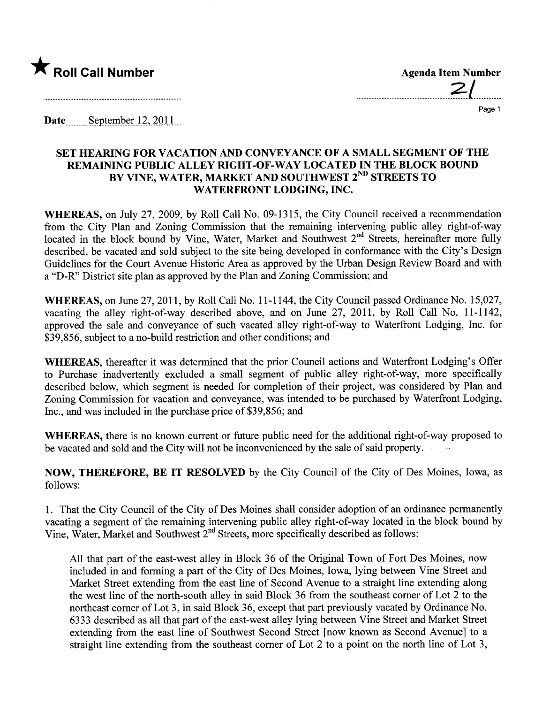

 $2/$ 

Page 1

Date  $\frac{\text{September }12,2011}{\text{September }12,2011}$ 

## SET HEARING FOR VACATION AND CONVEYANCE OF A SMALL SEGMENT OF THE REMAINING PUBLIC ALLEY RIGHT -OF -WAY LOCATED IN THE BLOCK BOUND BY VINE, WATER, MARKET AND SOUTHWEST 2<sup>ND</sup> STREETS TO WATERFRONT LODGING, INC.

WHEREAS, on July 27, 2009, by Roll Call No. 09-1315, the City Council received a recommendation from the City Plan and Zoning Commission that the remaining intervening public alley right-of-way located in the block bound by Vine, Water, Market and Southwest 2<sup>nd</sup> Streets, hereinafter more fully described, be vacated and sold subject to the site being developed in conformance with the City's Design Guidelines for the Court Avenue Historic Area as approved by the Urban Design Review Board and with a "D-R" District site plan as approved by the Plan and Zoning Commission; and

WHEREAS, on June 27, 2011, by Roll Call No.1 1-1 144, the City Council passed Ordinance No. 15,027, vacating the alley right-of-way described above, and on June 27, 2011, by Roll Call No. 11-1142, approved the sale and conveyance of such vacated alley right-of-way to Waterfront Lodging, Inc. for \$39,856, subject to a no-build restriction and other conditions; and

WHEREAS, thereafter it was determined that the prior Council actions and Waterfront Lodging's Offer to Purchase inadvertently excluded a small segment of public alley right-of-way, more specifically described below, which segment is needed for completion of their project, was considered by Plan and Zoning Commission for vacation and conveyance, was intended to be purchased by Waterfront Lodging, Inc., and was included in the purchase price of \$39,856; and

WHEREAS, there is no known current or future public need for the additional right-of-way proposed to be vacated and sold and the City will not be inconvenienced by the sale of said property.

NOW, THEREFORE, BE IT RESOLVED by the City Council of the City of Des Moines, Iowa, as follows:

1. That the City Council of the City of Des Moines shall consider adoption of an ordinance permanently vacating a segment of the remaining intervening public alley right-of-way located in the block bound by Vine, Water, Market and Southwest 2<sup>nd</sup> Streets, more specifically described as follows:

All that part of the east-west alley in Block 36 of the Original Town of Fort Des Moines, now included in and forming a part of the City of Des Moines, Iowa, lying between Vine Street and Market Street extending from the east line of Second Avenue to a straight line extending along the west line of the north-south alley in said Block 36 from the southeast comer of Lot 2 to the northeast corner of Lot 3, in said Block 36, except that part previously vacated by Ordinance No. 6333 described as all that part of the east-west alley lying between Vine Street and Market Street extending from the east line of Southwest Second Street (now known as Second Avenue) to a straight line extending from the southeast comer of Lot 2 to a point on the north line of Lot 3,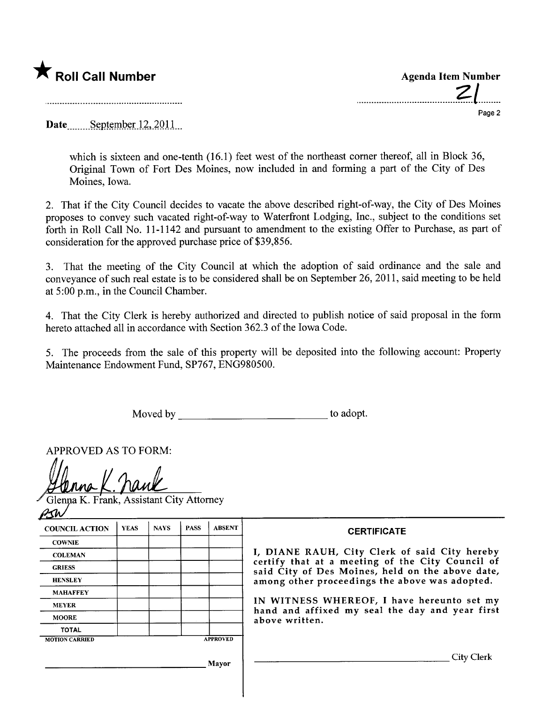

.......................................?:l......... Page 2

Date September 12, 2011

which is sixteen and one-tenth (16.1) feet west of the northeast corner thereof, all in Block 36, Original Town of Fort Des Moines, now included in and forming a part of the City of Des Moines, Iowa.

2. That if the City Council decides to vacate the above described right-of-way, the City of Des Moines proposes to convey such vacated right-of-way to Waterfront Lodging, Inc., subject to the conditions set forth in Roll Call No.1 1-1142 and pursuant to amendment to the existing Offer to Purchase, as part of consideration for the approved purchase price of \$39,856.

3. That the meeting of the City Council at which the adoption of said ordinance and the sale and conveyance of such real estate is to be considered shall be on September 26, 201 1, said meeting to be held at 5:00 p.m., in the Council Chamber.

4. That the City Clerk is hereby authorized and directed to publish notice of said proposal in the form hereto attached all in accordance with Section 362.3 of the Iowa Code.

5. The proceeds from the sale of this property wil be deposited into the following account: Property Maintenance Endowment Fund, SP767, ENG980500.

Moved by to adopt.

APPROVED AS TO FORM:

a K. Frank, Assistant City Attorney

| <b>COUNCIL ACTION</b> | <b>YEAS</b> | <b>NAYS</b> | <b>PASS</b> | <b>ABSENT</b>   | <b>CERTIFICATE</b>                                                                                                                                                                                                                                                                                                         |
|-----------------------|-------------|-------------|-------------|-----------------|----------------------------------------------------------------------------------------------------------------------------------------------------------------------------------------------------------------------------------------------------------------------------------------------------------------------------|
| <b>COWNIE</b>         |             |             |             |                 |                                                                                                                                                                                                                                                                                                                            |
| <b>COLEMAN</b>        |             |             |             |                 | I, DIANE RAUH, City Clerk of said City hereby<br>certify that at a meeting of the City Council of<br>said City of Des Moines, held on the above date,<br>among other proceedings the above was adopted.<br>IN WITNESS WHEREOF, I have hereunto set my<br>hand and affixed my seal the day and year first<br>above written. |
| <b>GRIESS</b>         |             |             |             |                 |                                                                                                                                                                                                                                                                                                                            |
| <b>HENSLEY</b>        |             |             |             |                 |                                                                                                                                                                                                                                                                                                                            |
| <b>MAHAFFEY</b>       |             |             |             |                 |                                                                                                                                                                                                                                                                                                                            |
| <b>MEYER</b>          |             |             |             |                 |                                                                                                                                                                                                                                                                                                                            |
| <b>MOORE</b>          |             |             |             |                 |                                                                                                                                                                                                                                                                                                                            |
| <b>TOTAL</b>          |             |             |             |                 |                                                                                                                                                                                                                                                                                                                            |
| <b>MOTION CARRIED</b> |             |             |             | <b>APPROVED</b> |                                                                                                                                                                                                                                                                                                                            |
|                       |             |             |             | Mayor           | City Clerk                                                                                                                                                                                                                                                                                                                 |